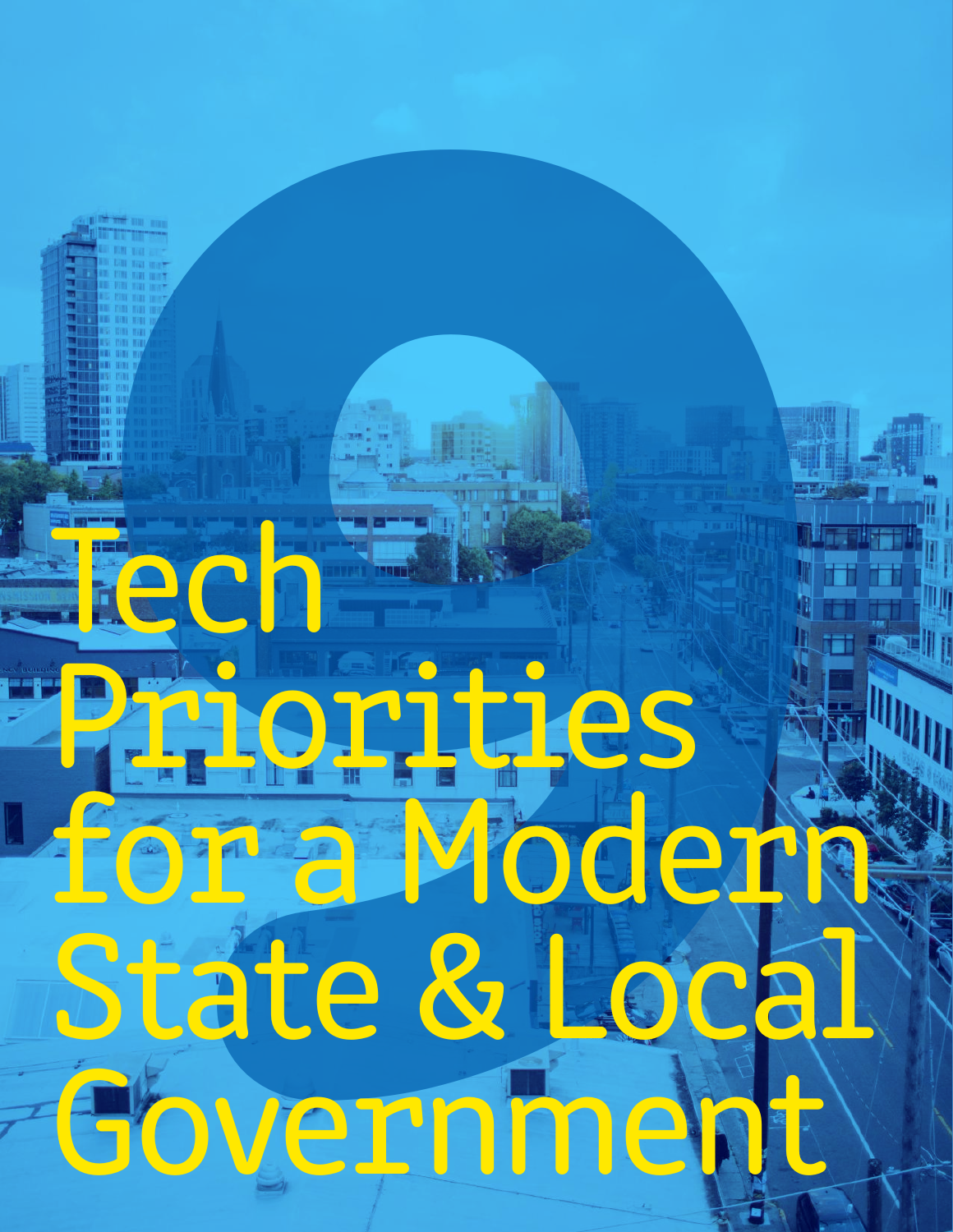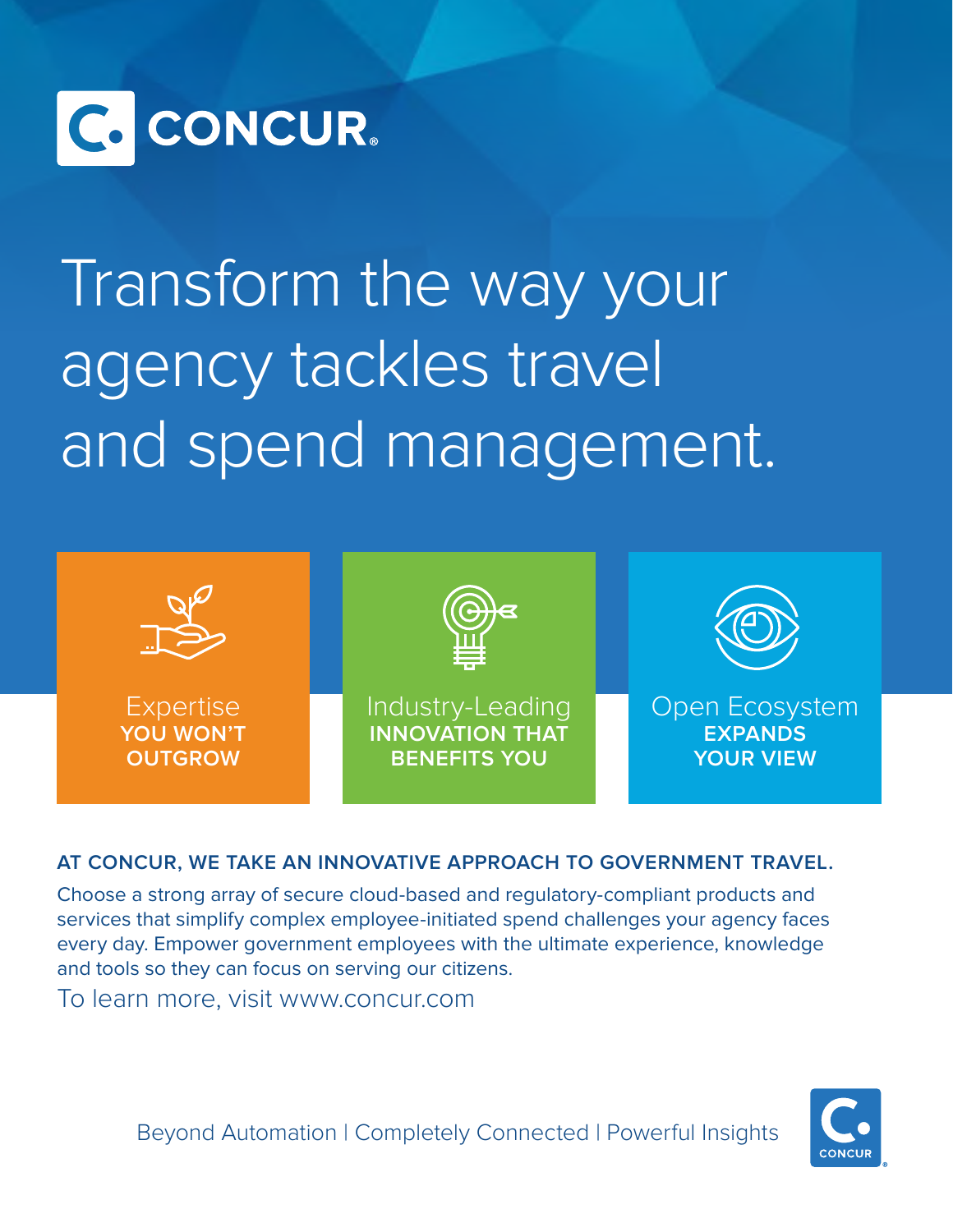

## Transform the way your agency tackles travel [and spend management.](https://gcn.com/whitepapers/2016/10/concur-adopt-commercial-best-practices-for-travel-101716.aspx?tc=page0)



## **AT CONCUR, WE TAKE AN INNOVATIVE APPROACH TO GOVERNMENT TRAVEL.**

Choose a strong array of secure cloud-based and regulatory-compliant products and services that simplify complex employee-initiated spend challenges your agency faces every day. Empower government employees with the ultimate experience, knowledge and tools so they can focus on serving our citizens.

[To learn more, visit www.concur.com](http://concur.com)

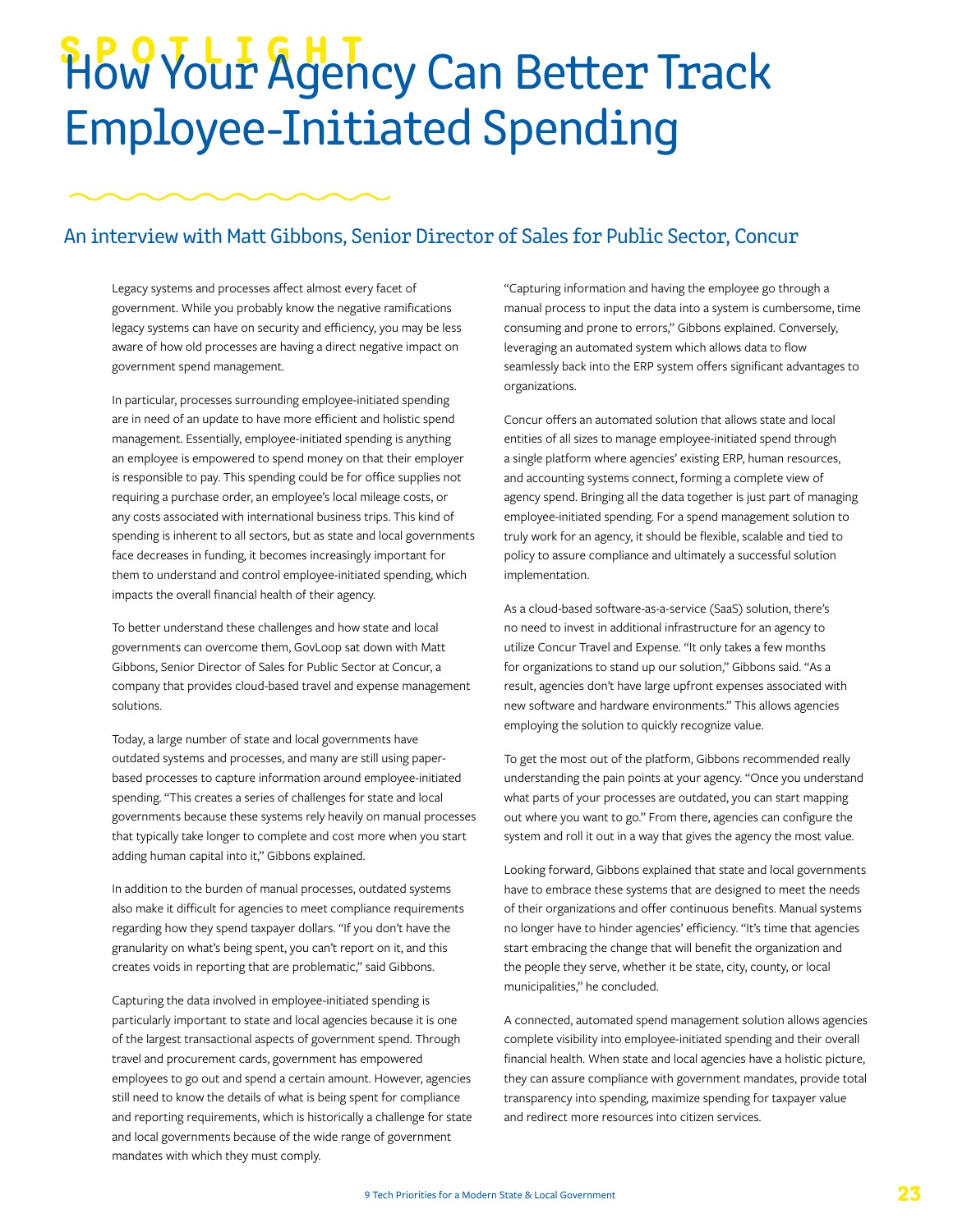## **SPOVLIGHT**<br>How Your Agency Can Better Track Employee-Initiated Spending

## An interview with Matt Gibbons, Senior Director of Sales for Public Sector, Concur

Legacy systems and processes affect almost every facet of government. While you probably know the negative ramifications legacy systems can have on security and efficiency, you may be less aware of how old processes are having a direct negative impact on government spend management.

In particular, processes surrounding employee-initiated spending are in need of an update to have more efficient and holistic spend management. Essentially, employee-initiated spending is anything an employee is empowered to spend money on that their employer is responsible to pay. This spending could be for office supplies not requiring a purchase order, an employee's local mileage costs, or any costs associated with international business trips. This kind of spending is inherent to all sectors, but as state and local governments face decreases in funding, it becomes increasingly important for them to understand and control employee-initiated spending, which impacts the overall financial health of their agency.

To better understand these challenges and how state and local governments can overcome them, GovLoop sat down with Matt Gibbons, Senior Director of Sales for Public Sector at Concur, a company that provides cloud-based travel and expense management solutions.

Today, a large number of state and local governments have outdated systems and processes, and many are still using paperbased processes to capture information around employee-initiated spending. "This creates a series of challenges for state and local governments because these systems rely heavily on manual processes that typically take longer to complete and cost more when you start adding human capital into it," Gibbons explained.

In addition to the burden of manual processes, outdated systems also make it difficult for agencies to meet compliance requirements regarding how they spend taxpayer dollars. "If you don't have the granularity on what's being spent, you can't report on it, and this creates voids in reporting that are problematic," said Gibbons.

Capturing the data involved in employee-initiated spending is particularly important to state and local agencies because it is one of the largest transactional aspects of government spend. Through travel and procurement cards, government has empowered employees to go out and spend a certain amount. However, agencies still need to know the details of what is being spent for compliance and reporting requirements, which is historically a challenge for state and local governments because of the wide range of government mandates with which they must comply.

"Capturing information and having the employee go through a manual process to input the data into a system is cumbersome, time consuming and prone to errors," Gibbons explained. Conversely, leveraging an automated system which allows data to flow seamlessly back into the ERP system offers significant advantages to organizations.

Concur offers an automated solution that allows state and local entities of all sizes to manage employee-initiated spend through a single platform where agencies' existing ERP, human resources, and accounting systems connect, forming a complete view of agency spend. Bringing all the data together is just part of managing employee-initiated spending. For a spend management solution to truly work for an agency, it should be flexible, scalable and tied to policy to assure compliance and ultimately a successful solution implementation.

As a cloud-based software-as-a-service (SaaS) solution, there's no need to invest in additional infrastructure for an agency to utilize Concur Travel and Expense. "It only takes a few months for organizations to stand up our solution," Gibbons said. "As a result, agencies don't have large upfront expenses associated with new software and hardware environments." This allows agencies employing the solution to quickly recognize value.

To get the most out of the platform, Gibbons recommended really understanding the pain points at your agency. "Once you understand what parts of your processes are outdated, you can start mapping out where you want to go." From there, agencies can configure the system and roll it out in a way that gives the agency the most value.

Looking forward, Gibbons explained that state and local governments have to embrace these systems that are designed to meet the needs of their organizations and offer continuous benefits. Manual systems no longer have to hinder agencies' efficiency. "It's time that agencies start embracing the change that will benefit the organization and the people they serve, whether it be state, city, county, or local municipalities," he concluded.

A connected, automated spend management solution allows agencies complete visibility into employee-initiated spending and their overall financial health. When state and local agencies have a holistic picture, they can assure compliance with government mandates, provide total transparency into spending, maximize spending for taxpayer value and redirect more resources into citizen services.